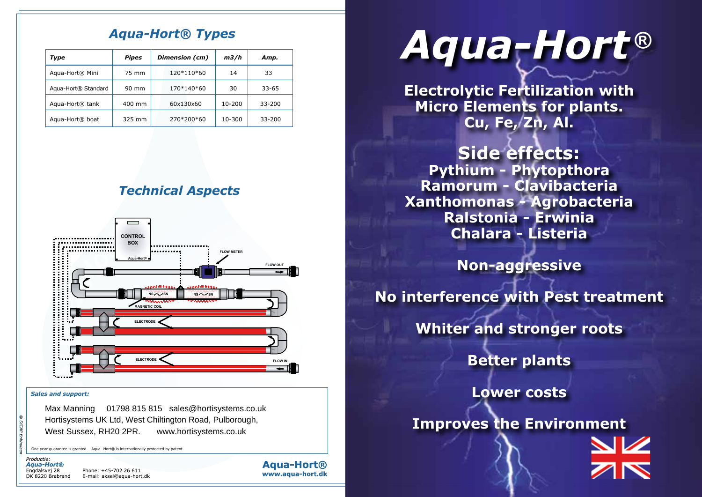# *Aqua-Hort® Types*

| Type                            | <b>Pipes</b> | Dimension (cm) | m3/h   | Amp.       |
|---------------------------------|--------------|----------------|--------|------------|
| Agua-Hort® Mini                 | 75 mm        | 120*110*60     | 14     | 33         |
| Agua-Hort <sup>®</sup> Standard | 90 mm        | 170*140*60     | 30     | $33 - 65$  |
| Agua-Hort <sup>®</sup> tank     | 400 mm       | 60x130x60      | 10-200 | $33 - 200$ |
| Agua-Hort <sup>®</sup> boat     | 325 mm       | 270*200*60     | 10-300 | 33-200     |





### *Sales and support:*

Max Manning 01798 815 815 sales@hortisystems.co.uk Hortisystems UK Ltd, West Chiltington Road, Pulborough, West Sussex, RH20 2PR. www.hortisystems.co.uk

One year guarantee is granted. Agua- Hort® is internationally protected by patent



Phone: +45-702 26 611 E-mail: aksel@aqua-hort.dk **Aqua-Hort®** www.aqua-hort.dk

# *Aqua-Hort ®*

**Electrolytic Fertilization with Micro Elements for plants. Cu, Fe, Zn, Al.**

**Side effects: Pythium - Phytopthora Ramorum - Clavibacteria Xanthomonas - Agrobacteria Ralstonia - Erwinia Chalara - Listeria**

**Non-aggressive**

**No interference with Pest treatment**

**Whiter and stronger roots**

**Better plants**

**Lower costs**

**Improves the Environment**